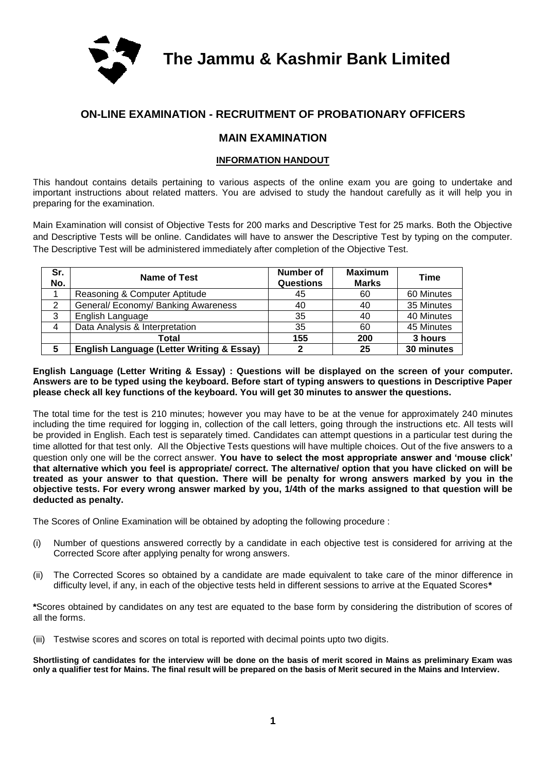

**The Jammu & Kashmir Bank Limited**

## **ON-LINE EXAMINATION - RECRUITMENT OF PROBATIONARY OFFICERS**

### **MAIN EXAMINATION**

#### **INFORMATION HANDOUT**

This handout contains details pertaining to various aspects of the online exam you are going to undertake and important instructions about related matters. You are advised to study the handout carefully as it will help you in preparing for the examination.

Main Examination will consist of Objective Tests for 200 marks and Descriptive Test for 25 marks. Both the Objective and Descriptive Tests will be online. Candidates will have to answer the Descriptive Test by typing on the computer. The Descriptive Test will be administered immediately after completion of the Objective Test.

| Sr.<br>No. | Name of Test                                         | Number of<br><b>Questions</b> | <b>Maximum</b><br><b>Marks</b> | Time       |
|------------|------------------------------------------------------|-------------------------------|--------------------------------|------------|
|            | Reasoning & Computer Aptitude                        | 45                            | 60                             | 60 Minutes |
| 2          | General/ Economy/ Banking Awareness                  | 40                            | 40                             | 35 Minutes |
| 3          | English Language                                     | 35                            | 40                             | 40 Minutes |
| 4          | Data Analysis & Interpretation                       | 35                            | 60                             | 45 Minutes |
|            | Total                                                | 155                           | 200                            | 3 hours    |
| 5          | <b>English Language (Letter Writing &amp; Essay)</b> | 2                             | 25                             | 30 minutes |

#### **English Language (Letter Writing & Essay) : Questions will be displayed on the screen of your computer. Answers are to be typed using the keyboard. Before start of typing answers to questions in Descriptive Paper please check all key functions of the keyboard. You will get 30 minutes to answer the questions.**

The total time for the test is 210 minutes; however you may have to be at the venue for approximately 240 minutes including the time required for logging in, collection of the call letters, going through the instructions etc. All tests will be provided in English. Each test is separately timed. Candidates can attempt questions in a particular test during the time allotted for that test only. All the Objective Tests questions will have multiple choices. Out of the five answers to a question only one will be the correct answer. **You have to select the most appropriate answer and 'mouse click' that alternative which you feel is appropriate/ correct. The alternative/ option that you have clicked on will be treated as your answer to that question. There will be penalty for wrong answers marked by you in the objective tests. For every wrong answer marked by you, 1/4th of the marks assigned to that question will be deducted as penalty.**

The Scores of Online Examination will be obtained by adopting the following procedure :

- (i) Number of questions answered correctly by a candidate in each objective test is considered for arriving at the Corrected Score after applying penalty for wrong answers.
- (ii) The Corrected Scores so obtained by a candidate are made equivalent to take care of the minor difference in difficulty level, if any, in each of the objective tests held in different sessions to arrive at the Equated Scores**\***

**\***Scores obtained by candidates on any test are equated to the base form by considering the distribution of scores of all the forms.

(iii) Testwise scores and scores on total is reported with decimal points upto two digits.

**Shortlisting of candidates for the interview will be done on the basis of merit scored in Mains as preliminary Exam was only a qualifier test for Mains. The final result will be prepared on the basis of Merit secured in the Mains and Interview.**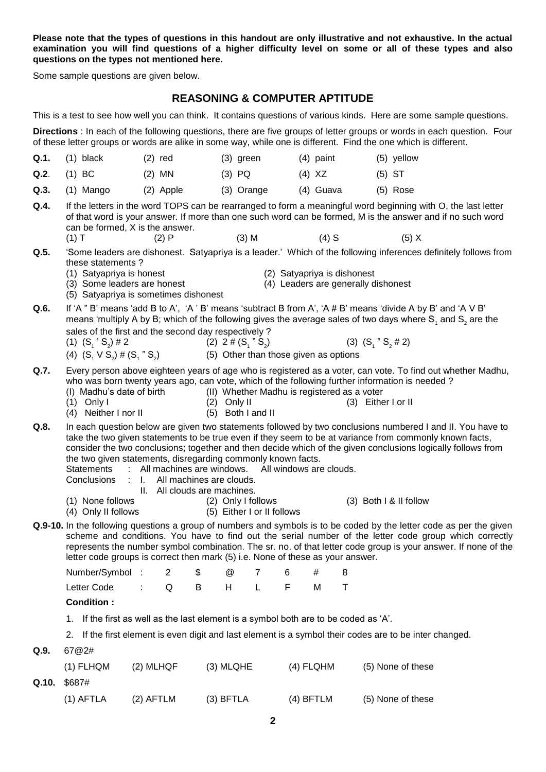**Please note that the types of questions in this handout are only illustrative and not exhaustive. In the actual examination you will find questions of a higher difficulty level on some or all of these types and also questions on the types not mentioned here.**

Some sample questions are given below.

#### **REASONING & COMPUTER APTITUDE**

This is a test to see how well you can think. It contains questions of various kinds. Here are some sample questions.

**Directions** : In each of the following questions, there are five groups of letter groups or words in each question. Four of these letter groups or words are alike in some way, while one is different. Find the one which is different.

|      | $Q.1.$ (1) black | $(2)$ red | $(3)$ green | $(4)$ paint | (5) yellow |
|------|------------------|-----------|-------------|-------------|------------|
|      | $Q.2.$ (1) BC    | $(2)$ MN  | $(3)$ PQ    | (4) XZ      | (5) ST     |
| Q.3. | (1) Mango        | (2) Apple | (3) Orange  | (4) Guava   | (5) Rose   |

- **Q.4.** If the letters in the word TOPS can be rearranged to form a meaningful word beginning with O, the last letter of that word is your answer. If more than one such word can be formed, M is the answer and if no such word can be formed,  $X$  is the answer.<br>(1)  $T$  (2)  $P$ (1) T (2) P (3) M (4) S (5) X
- **Q.5.** 'Some leaders are dishonest. Satyapriya is a leader.' Which of the following inferences definitely follows from
	- these statements ?<br>(1) Satyapriva is honest

(2) Satyapriya is dishonest

(3)  $(S_1 " S_2 # 2)$ 

- (3) Some leaders are honest (4) Leaders are generally dishonest
- (5) Satyapriya is sometimes dishonest
- **Q.6.** If 'A " B' means 'add B to A', 'A ' B' means 'subtract B from A', 'A # B' means 'divide A by B' and 'A V B' means 'multiply A by B; which of the following gives the average sales of two days where S<sub>1</sub> and S<sub>2</sub> are the sales of the first and the second day respectively ?
	- (1)  $(S_1 S_2$ ) # 2 (2)  $2 \# (S_1" S_2)$
	- (4)  $(S_1 \vee S_2) \# (S_1 \text{''} S_2)$
- **Q.7.** Every person above eighteen years of age who is registered as a voter, can vote. To find out whether Madhu, who was born twenty years ago, can vote, which of the following further information is needed ?

) (5) Other than those given as options

- (I) Madhu's date of birth (II) Whether Madhu is registered as a voter (1) Only I (3) (1) Only I (2) Only II (3) Either I or II (4) Neither I nor II (5) Both I and II
- (4) Neither  $I$  nor  $II$
- **Q.8.** In each question below are given two statements followed by two conclusions numbered I and II. You have to take the two given statements to be true even if they seem to be at variance from commonly known facts, consider the two conclusions; together and then decide which of the given conclusions logically follows from the two given statements, disregarding commonly known facts.<br>Statements : All machines are windows. All windows are clouds.
	- : All machines are windows.
	- Conclusions : I. All machines are clouds.
		- II. All clouds are machines.
	- (1) None follows (2) Only I follows (3) Both I & II follow
		-
	- (4) Only II follows (5) Either I or II follows
- **Q.9-10.** In the following questions a group of numbers and symbols is to be coded by the letter code as per the given scheme and conditions. You have to find out the serial number of the letter code group which correctly represents the number symbol combination. The sr. no. of that letter code group is your answer. If none of the letter code groups is correct then mark (5) i.e. None of these as your answer.

| Number/Symbol: 2 \$ @ 7 6 # 8                  |  |  |  |  |
|------------------------------------------------|--|--|--|--|
| Letter Code : Q B H L F M T                    |  |  |  |  |
| $\mathbf{A}$ and $\mathbf{B}$ and $\mathbf{A}$ |  |  |  |  |

#### **Condition :**

1. If the first as well as the last element is a symbol both are to be coded as 'A'.

2. If the first element is even digit and last element is a symbol their codes are to be inter changed.

**Q.9.** 67@2#

| $(1)$ FLHQM    | $(2)$ MLHQF | $(3)$ MLQHE | $(4)$ FLQHM | (5) None of these |
|----------------|-------------|-------------|-------------|-------------------|
| $Q.10.$ \$687# |             |             |             |                   |
| (1) AFTLA      | (2) AFTLM   | $(3)$ BFTLA | (4) BFTLM   | (5) None of these |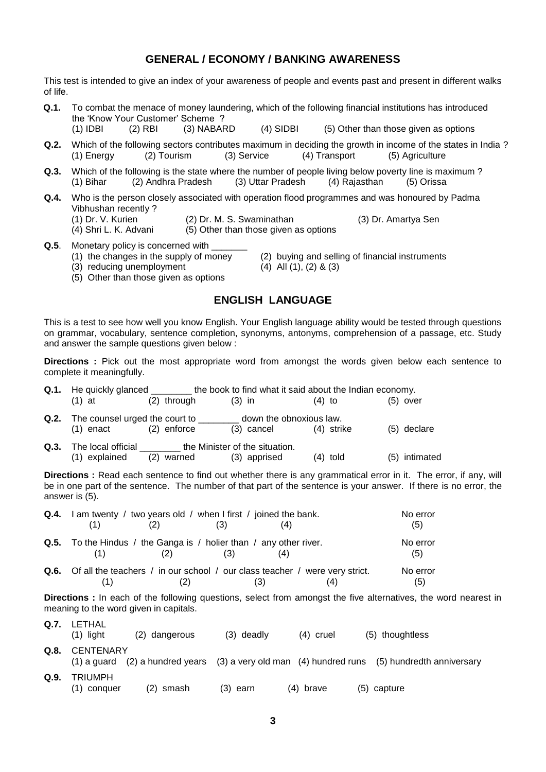## **GENERAL / ECONOMY / BANKING AWARENESS**

This test is intended to give an index of your awareness of people and events past and present in different walks of life.

- **Q.1.** To combat the menace of money laundering, which of the following financial institutions has introduced the 'Know Your Customer' Scheme ?<br>(1) IDBI (2) RBI (3) NABAF (2) RBI (3) NABARD (4) SIDBI (5) Other than those given as options
- **Q.2.** Which of the following sectors contributes maximum in deciding the growth in income of the states in India ?<br>(1) Energy (2) Tourism (3) Service (4) Transport (5) Agriculture (1) Energy  $(2)$  Tourism  $(3)$  Service  $(4)$  Transport
- **Q.3.** Which of the following is the state where the number of people living below poverty line is maximum ? (1) Bihar (2) Andhra Pradesh (3) Uttar Pradesh (4) Rajasthan (5) Orissa
- **Q.4.** Who is the person closely associated with operation flood programmes and was honoured by Padma Vibhushan recently ?<br>(1) Dr. V. Kurien
	- (2) Dr. M. S. Swaminathan (3) Dr. Amartya Sen
	- (4) Shri L. K. Advani (5) Other than those given as options
- **Q.5**. Monetary policy is concerned with \_\_\_\_\_\_\_
	-
	- $(3)$  reducing unemployment
- (2) buying and selling of financial instruments (4) All  $(1)$ ,  $(2)$  &  $(3)$
- (5) Other than those given as options

## **ENGLISH LANGUAGE**

This is a test to see how well you know English. Your English language ability would be tested through questions on grammar, vocabulary, sentence completion, synonyms, antonyms, comprehension of a passage, etc. Study and answer the sample questions given below :

**Directions :** Pick out the most appropriate word from amongst the words given below each sentence to complete it meaningfully.

|      |                                                                 |               | <b>Q.1.</b> He quickly glanced _________ the book to find what it said about the Indian economy. |            |               |  |
|------|-----------------------------------------------------------------|---------------|--------------------------------------------------------------------------------------------------|------------|---------------|--|
|      | $(1)$ at                                                        | $(2)$ through | $(3)$ in                                                                                         | $(4)$ to   | $(5)$ over    |  |
|      | <b>Q.2.</b> The counsel urged the court to _____<br>$(1)$ enact | $(2)$ enforce | down the obnoxious law.<br>(3) cancel                                                            | (4) strike | $(5)$ declare |  |
| Q.3. | (1) explained                                                   | (2) warned    | The local official the Minister of the situation.<br>(3) apprised                                | $(4)$ told | (5) intimated |  |

**Directions :** Read each sentence to find out whether there is any grammatical error in it. The error, if any, will be in one part of the sentence. The number of that part of the sentence is your answer. If there is no error, the answer is (5).

| Q.4. | I am twenty / two years old / when I first / joined the bank.                                  |     |     | No error<br>(5) |
|------|------------------------------------------------------------------------------------------------|-----|-----|-----------------|
|      | <b>Q.5.</b> To the Hindus / the Ganga is / holier than / any other river.<br>(2)               | (3) |     | No error<br>(5) |
|      | <b>Q.6.</b> Of all the teachers / in our school / our class teacher / were very strict.<br>(2) |     | (3) | No error<br>(5) |

**Directions :** In each of the following questions, select from amongst the five alternatives, the word nearest in meaning to the word given in capitals.

| Q.7. | LETHAL<br>$(1)$ light         | (2) dangerous | $(3)$ deadly | $(4)$ cruel | (5) thoughtless                                                                                         |
|------|-------------------------------|---------------|--------------|-------------|---------------------------------------------------------------------------------------------------------|
| Q.8. | <b>CENTENARY</b>              |               |              |             | $(1)$ a guard $(2)$ a hundred years $(3)$ a very old man $(4)$ hundred runs $(5)$ hundredth anniversary |
| Q.9. | <b>TRIUMPH</b><br>(1) conquer | (2) smash     | $(3)$ earn   | $(4)$ brave | $(5)$ capture                                                                                           |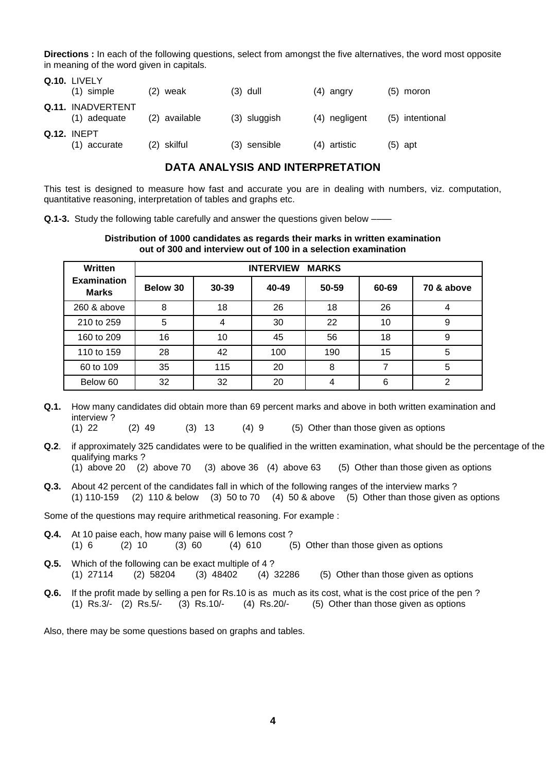**Directions :** In each of the following questions, select from amongst the five alternatives, the word most opposite in meaning of the word given in capitals.

| Q.10. LIVELY                       |               |              |               |                 |
|------------------------------------|---------------|--------------|---------------|-----------------|
| $(1)$ simple                       | weak<br>(2)   | $(3)$ dull   | (4) angry     | (5) moron       |
| Q.11. INADVERTENT<br>(1) adequate  | (2) available | (3) sluggish | (4) negligent | (5) intentional |
| <b>Q.12. INEPT</b><br>(1) accurate | (2) skilful   | (3) sensible | (4) artistic  | (5) apt         |

## **DATA ANALYSIS AND INTERPRETATION**

This test is designed to measure how fast and accurate you are in dealing with numbers, viz. computation, quantitative reasoning, interpretation of tables and graphs etc.

**Q.1-3.** Study the following table carefully and answer the questions given below –

**Q.10.** Lively **Q.10.** Lively **Q.10.** 

#### **Distribution of 1000 candidates as regards their marks in written examination out of 300 and interview out of 100 in a selection examination**

| Written                            | <b>MARKS</b><br><b>INTERVIEW</b> |       |       |       |       |            |  |  |
|------------------------------------|----------------------------------|-------|-------|-------|-------|------------|--|--|
| <b>Examination</b><br><b>Marks</b> | Below 30                         | 30-39 | 40-49 | 50-59 | 60-69 | 70 & above |  |  |
| 260 & above                        | 8                                | 18    | 26    | 18    | 26    |            |  |  |
| 210 to 259                         | 5                                | 4     | 30    | 22    | 10    | 9          |  |  |
| 160 to 209                         | 16                               | 10    | 45    | 56    | 18    | 9          |  |  |
| 110 to 159                         | 28                               | 42    | 100   | 190   | 15    | 5          |  |  |
| 60 to 109                          | 35                               | 115   | 20    | 8     |       | 5          |  |  |
| Below 60                           | 32                               | 32    | 20    | 4     | 6     | っ          |  |  |

**Q.1.** How many candidates did obtain more than 69 percent marks and above in both written examination and interview ?

(1) 22 (2) 49 (3) 13 (4) 9 (5) Other than those given as options

**Q.2**. if approximately 325 candidates were to be qualified in the written examination, what should be the percentage of the qualifying marks ?

(1) above 20 (2) above 70 (3) above 36 (4) above 63 (5) Other than those given as options

**Q.3.** About 42 percent of the candidates fall in which of the following ranges of the interview marks ? (1) 110-159 (2) 110 & below (3) 50 to 70 (4) 50 & above (5) Other than those given as options

Some of the questions may require arithmetical reasoning. For example :

- **Q.4.** At 10 paise each, how many paise will 6 lemons cost ? (1) 6 (2) 10 (3) 60 (4) 610 (5) Other than those given as options
- **Q.5.** Which of the following can be exact multiple of 4 ? (1) 27114 (2) 58204 (3) 48402 (4) 32286 (5) Other than those given as options
- **Q.6.** If the profit made by selling a pen for Rs.10 is as much as its cost, what is the cost price of the pen ? (1) Rs.3/- (2) Rs.5/- (3) Rs.10/- (4) Rs.20/- (5) Other than those given as options

Also, there may be some questions based on graphs and tables.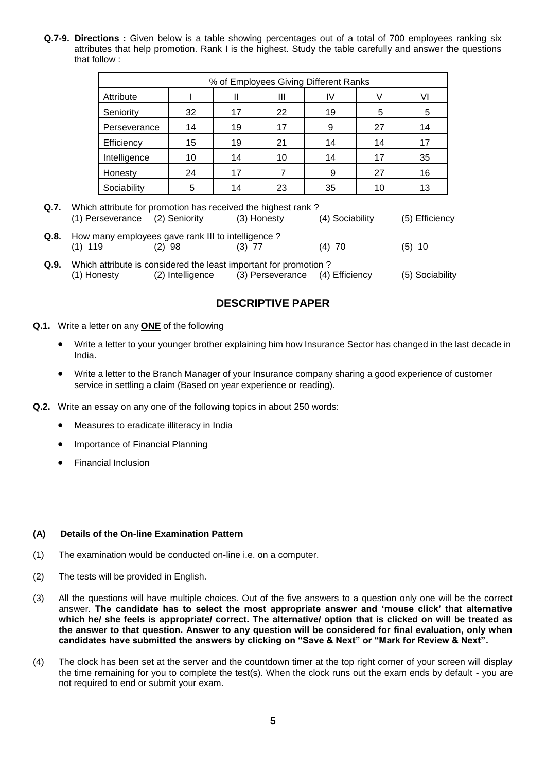**Q.7-9. Directions :** Given below is a table showing percentages out of a total of 700 employees ranking six attributes that help promotion. Rank I is the highest. Study the table carefully and answer the questions that follow :

| % of Employees Giving Different Ranks |    |    |    |    |    |    |  |
|---------------------------------------|----|----|----|----|----|----|--|
| Attribute                             |    |    | Ш  | IV |    | VI |  |
| Seniority                             | 32 | 17 | 22 | 19 | 5  | 5  |  |
| Perseverance                          | 14 | 19 | 17 | 9  | 27 | 14 |  |
| Efficiency                            | 15 | 19 | 21 | 14 | 14 | 17 |  |
| Intelligence                          | 10 | 14 | 10 | 14 | 17 | 35 |  |
| Honesty                               | 24 | 17 |    | 9  | 27 | 16 |  |
| Sociability                           | 5  | 14 | 23 | 35 | 10 | 13 |  |

- **Q.7.** Which attribute for promotion has received the highest rank ? (1) Perseverance (2) Seniority (3) Honesty (4) Sociability (5) Efficiency
- **Q.8.** How many employees gave rank III to intelligence ? (1) 119 (2) 98 (3) 77 (4) 70 (5) 10
- **Q.9.** Which attribute is considered the least important for promotion ? (1) Honesty (2) Intelligence (3) Perseverance (4) Efficiency (5) Sociability

## **DESCRIPTIVE PAPER**

- **Q.1.** Write a letter on any **ONE** of the following
	- Write a letter to your younger brother explaining him how Insurance Sector has changed in the last decade in India.
	- Write a letter to the Branch Manager of your Insurance company sharing a good experience of customer service in settling a claim (Based on year experience or reading).
- **Q.2.** Write an essay on any one of the following topics in about 250 words:
	- Measures to eradicate illiteracy in India
	- Importance of Financial Planning
	- Financial Inclusion

#### **(A) Details of the On-line Examination Pattern**

- (1) The examination would be conducted on-line i.e. on a computer.
- (2) The tests will be provided in English.
- (3) All the questions will have multiple choices. Out of the five answers to a question only one will be the correct answer. **The candidate has to select the most appropriate answer and 'mouse click' that alternative which he/ she feels is appropriate/ correct. The alternative/ option that is clicked on will be treated as the answer to that question. Answer to any question will be considered for final evaluation, only when candidates have submitted the answers by clicking on "Save & Next" or "Mark for Review & Next".**
- (4) The clock has been set at the server and the countdown timer at the top right corner of your screen will display the time remaining for you to complete the test(s). When the clock runs out the exam ends by default - you are not required to end or submit your exam.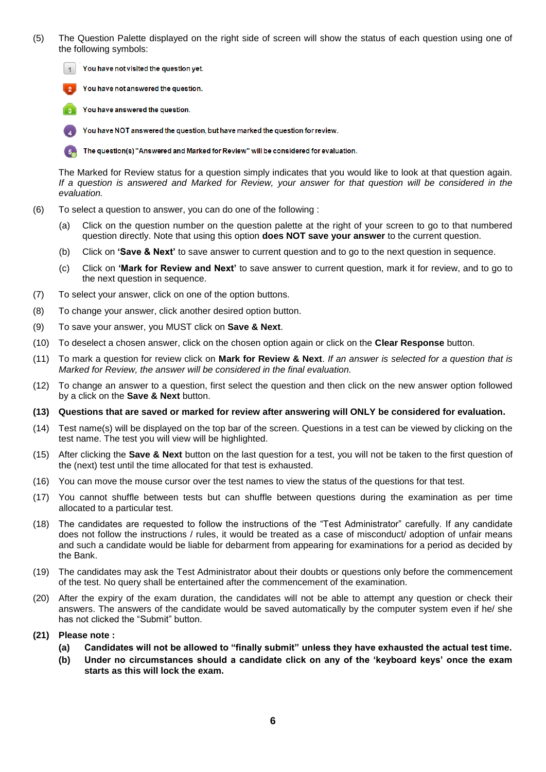- (5) The Question Palette displayed on the right side of screen will show the status of each question using one of the following symbols:
	- You have not visited the question yet.  $\overline{1}$

You have not answered the question.

You have answered the question.

You have NOT answered the question, but have marked the question for review.

The question(s) "Answered and Marked for Review" will be considered for evaluation.

The Marked for Review status for a question simply indicates that you would like to look at that question again. *If a question is answered and Marked for Review, your answer for that question will be considered in the evaluation.*

- (6) To select a question to answer, you can do one of the following :
	- (a) Click on the question number on the question palette at the right of your screen to go to that numbered question directly. Note that using this option **does NOT save your answer** to the current question.
	- (b) Click on **'Save & Next'** to save answer to current question and to go to the next question in sequence.
	- (c) Click on **'Mark for Review and Next'** to save answer to current question, mark it for review, and to go to the next question in sequence.
- (7) To select your answer, click on one of the option buttons.
- (8) To change your answer, click another desired option button.
- (9) To save your answer, you MUST click on **Save & Next**.
- (10) To deselect a chosen answer, click on the chosen option again or click on the **Clear Response** button.
- (11) To mark a question for review click on **Mark for Review & Next**. *If an answer is selected for a question that is Marked for Review, the answer will be considered in the final evaluation.*
- (12) To change an answer to a question, first select the question and then click on the new answer option followed by a click on the **Save & Next** button.
- **(13) Questions that are saved or marked for review after answering will ONLY be considered for evaluation.**
- (14) Test name(s) will be displayed on the top bar of the screen. Questions in a test can be viewed by clicking on the test name. The test you will view will be highlighted.
- (15) After clicking the **Save & Next** button on the last question for a test, you will not be taken to the first question of the (next) test until the time allocated for that test is exhausted.
- (16) You can move the mouse cursor over the test names to view the status of the questions for that test.
- (17) You cannot shuffle between tests but can shuffle between questions during the examination as per time allocated to a particular test.
- (18) The candidates are requested to follow the instructions of the "Test Administrator" carefully. If any candidate does not follow the instructions / rules, it would be treated as a case of misconduct/ adoption of unfair means and such a candidate would be liable for debarment from appearing for examinations for a period as decided by the Bank.
- (19) The candidates may ask the Test Administrator about their doubts or questions only before the commencement of the test. No query shall be entertained after the commencement of the examination.
- (20) After the expiry of the exam duration, the candidates will not be able to attempt any question or check their answers. The answers of the candidate would be saved automatically by the computer system even if he/ she has not clicked the "Submit" button.
- **(21) Please note :**
	- **(a) Candidates will not be allowed to "finally submit" unless they have exhausted the actual test time.**
	- **(b) Under no circumstances should a candidate click on any of the 'keyboard keys' once the exam starts as this will lock the exam.**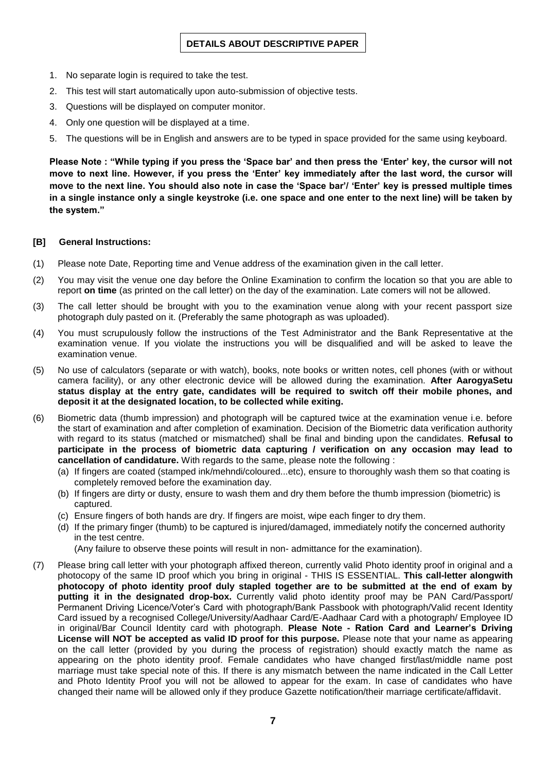- 1. No separate login is required to take the test.
- 2. This test will start automatically upon auto-submission of objective tests.
- 3. Questions will be displayed on computer monitor.
- 4. Only one question will be displayed at a time.
- 5. The questions will be in English and answers are to be typed in space provided for the same using keyboard.

**Please Note : "While typing if you press the 'Space bar' and then press the 'Enter' key, the cursor will not move to next line. However, if you press the 'Enter' key immediately after the last word, the cursor will move to the next line. You should also note in case the 'Space bar'/ 'Enter' key is pressed multiple times in a single instance only a single keystroke (i.e. one space and one enter to the next line) will be taken by the system."**

#### **[B] General Instructions:**

- (1) Please note Date, Reporting time and Venue address of the examination given in the call letter.
- (2) You may visit the venue one day before the Online Examination to confirm the location so that you are able to report **on time** (as printed on the call letter) on the day of the examination. Late comers will not be allowed.
- (3) The call letter should be brought with you to the examination venue along with your recent passport size photograph duly pasted on it. (Preferably the same photograph as was uploaded).
- (4) You must scrupulously follow the instructions of the Test Administrator and the Bank Representative at the examination venue. If you violate the instructions you will be disqualified and will be asked to leave the examination venue.
- (5) No use of calculators (separate or with watch), books, note books or written notes, cell phones (with or without camera facility), or any other electronic device will be allowed during the examination. **After AarogyaSetu status display at the entry gate, candidates will be required to switch off their mobile phones, and deposit it at the designated location, to be collected while exiting.**
- (6) Biometric data (thumb impression) and photograph will be captured twice at the examination venue i.e. before the start of examination and after completion of examination. Decision of the Biometric data verification authority with regard to its status (matched or mismatched) shall be final and binding upon the candidates. **Refusal to participate in the process of biometric data capturing / verification on any occasion may lead to cancellation of candidature.** With regards to the same, please note the following :
	- (a) If fingers are coated (stamped ink/mehndi/coloured...etc), ensure to thoroughly wash them so that coating is completely removed before the examination day.
	- (b) If fingers are dirty or dusty, ensure to wash them and dry them before the thumb impression (biometric) is captured.
	- (c) Ensure fingers of both hands are dry. If fingers are moist, wipe each finger to dry them.
	- (d) If the primary finger (thumb) to be captured is injured/damaged, immediately notify the concerned authority in the test centre.

(Any failure to observe these points will result in non- admittance for the examination).

(7) Please bring call letter with your photograph affixed thereon, currently valid Photo identity proof in original and a photocopy of the same ID proof which you bring in original - THIS IS ESSENTIAL. **This call-letter alongwith photocopy of photo identity proof duly stapled together are to be submitted at the end of exam by putting it in the designated drop-box.** Currently valid photo identity proof may be PAN Card/Passport/ Permanent Driving Licence/Voter's Card with photograph/Bank Passbook with photograph/Valid recent Identity Card issued by a recognised College/University/Aadhaar Card/E-Aadhaar Card with a photograph/ Employee ID in original/Bar Council Identity card with photograph. **Please Note - Ration Card and Learner's Driving License will NOT be accepted as valid ID proof for this purpose.** Please note that your name as appearing on the call letter (provided by you during the process of registration) should exactly match the name as appearing on the photo identity proof. Female candidates who have changed first/last/middle name post marriage must take special note of this. If there is any mismatch between the name indicated in the Call Letter and Photo Identity Proof you will not be allowed to appear for the exam. In case of candidates who have changed their name will be allowed only if they produce Gazette notification/their marriage certificate/affidavit.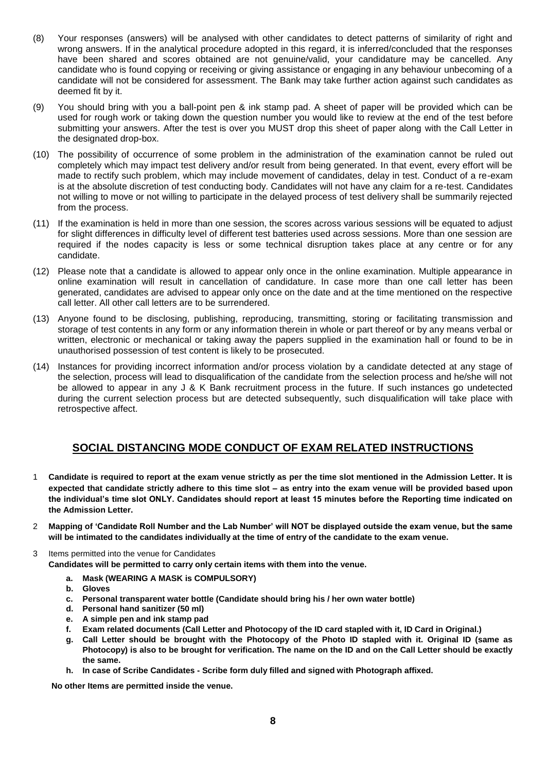- (8) Your responses (answers) will be analysed with other candidates to detect patterns of similarity of right and wrong answers. If in the analytical procedure adopted in this regard, it is inferred/concluded that the responses have been shared and scores obtained are not genuine/valid, your candidature may be cancelled. Any candidate who is found copying or receiving or giving assistance or engaging in any behaviour unbecoming of a candidate will not be considered for assessment. The Bank may take further action against such candidates as deemed fit by it.
- (9) You should bring with you a ball-point pen & ink stamp pad. A sheet of paper will be provided which can be used for rough work or taking down the question number you would like to review at the end of the test before submitting your answers. After the test is over you MUST drop this sheet of paper along with the Call Letter in the designated drop-box.
- (10) The possibility of occurrence of some problem in the administration of the examination cannot be ruled out completely which may impact test delivery and/or result from being generated. In that event, every effort will be made to rectify such problem, which may include movement of candidates, delay in test. Conduct of a re-exam is at the absolute discretion of test conducting body. Candidates will not have any claim for a re-test. Candidates not willing to move or not willing to participate in the delayed process of test delivery shall be summarily rejected from the process.
- (11) If the examination is held in more than one session, the scores across various sessions will be equated to adjust for slight differences in difficulty level of different test batteries used across sessions. More than one session are required if the nodes capacity is less or some technical disruption takes place at any centre or for any candidate.
- (12) Please note that a candidate is allowed to appear only once in the online examination. Multiple appearance in online examination will result in cancellation of candidature. In case more than one call letter has been generated, candidates are advised to appear only once on the date and at the time mentioned on the respective call letter. All other call letters are to be surrendered.
- (13) Anyone found to be disclosing, publishing, reproducing, transmitting, storing or facilitating transmission and storage of test contents in any form or any information therein in whole or part thereof or by any means verbal or written, electronic or mechanical or taking away the papers supplied in the examination hall or found to be in unauthorised possession of test content is likely to be prosecuted.
- (14) Instances for providing incorrect information and/or process violation by a candidate detected at any stage of the selection, process will lead to disqualification of the candidate from the selection process and he/she will not be allowed to appear in any J & K Bank recruitment process in the future. If such instances go undetected during the current selection process but are detected subsequently, such disqualification will take place with retrospective affect.

## **SOCIAL DISTANCING MODE CONDUCT OF EXAM RELATED INSTRUCTIONS**

- 1 **Candidate is required to report at the exam venue strictly as per the time slot mentioned in the Admission Letter. It is expected that candidate strictly adhere to this time slot – as entry into the exam venue will be provided based upon the individual's time slot ONLY. Candidates should report at least 15 minutes before the Reporting time indicated on the Admission Letter.**
- 2 **Mapping of 'Candidate Roll Number and the Lab Number' will NOT be displayed outside the exam venue, but the same will be intimated to the candidates individually at the time of entry of the candidate to the exam venue.**
- 3 Items permitted into the venue for Candidates

**Candidates will be permitted to carry only certain items with them into the venue.** 

- **a. Mask (WEARING A MASK is COMPULSORY)**
- **b. Gloves**
- **c. Personal transparent water bottle (Candidate should bring his / her own water bottle)**
- **d. Personal hand sanitizer (50 ml)**
- **e. A simple pen and ink stamp pad**
- **f. Exam related documents (Call Letter and Photocopy of the ID card stapled with it, ID Card in Original.)**
- **g. Call Letter should be brought with the Photocopy of the Photo ID stapled with it. Original ID (same as Photocopy) is also to be brought for verification. The name on the ID and on the Call Letter should be exactly the same.**
- **h. In case of Scribe Candidates - Scribe form duly filled and signed with Photograph affixed.**

 **No other Items are permitted inside the venue.**